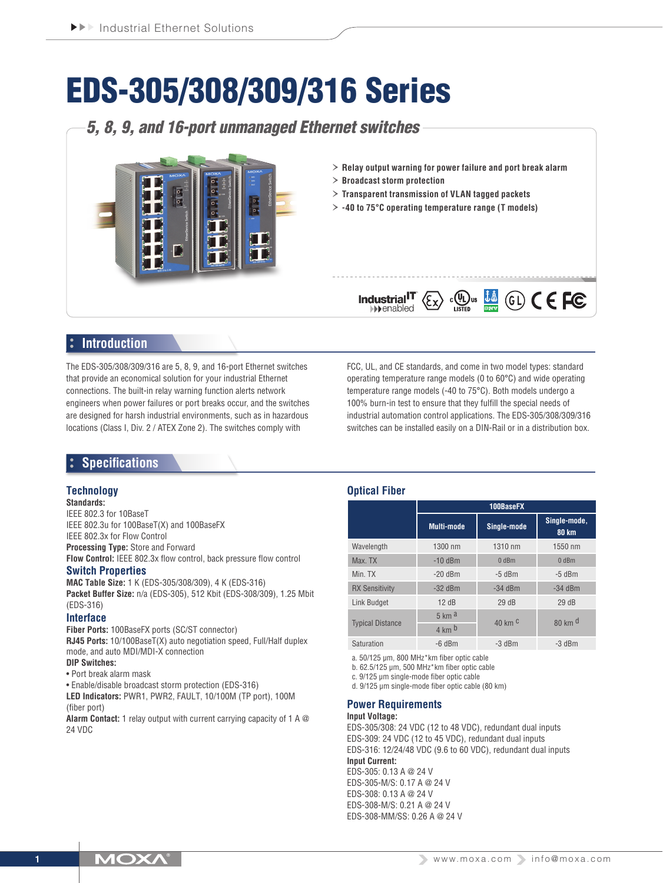# EDS-305/308/309/316 Series

# *5, 8, 9, and 16-port unmanaged Ethernet switches*



- › **Relay output warning for power failure and port break alarm**
- › **Broadcast storm protection**

Industrial<sup>IT</sup>  $\blacktriangleright$  enabled

- › **Transparent transmission of VLAN tagged packets**
- › **-40 to 75°C operating temperature range (T models)**

## **Introduction**

The EDS-305/308/309/316 are 5, 8, 9, and 16-port Ethernet switches that provide an economical solution for your industrial Ethernet connections. The built-in relay warning function alerts network engineers when power failures or port breaks occur, and the switches are designed for harsh industrial environments, such as in hazardous locations (Class I, Div. 2 / ATEX Zone 2). The switches comply with

FCC, UL, and CE standards, and come in two model types: standard operating temperature range models (0 to 60°C) and wide operating temperature range models (-40 to 75°C). Both models undergo a 100% burn-in test to ensure that they fulfill the special needs of industrial automation control applications. The EDS-305/308/309/316 switches can be installed easily on a DIN-Rail or in a distribution box.

 $\mathbb{C}^{(n)}$ us  $\frac{\mathbf{i} \mathbf{\hat{a}}}{\mathbf{a}}$  (G)  $\mathsf{C} \in \mathsf{FC}$ 

## **Specifications**

#### **Technology**

#### **Standards:**

IEEE 802.3 for 10BaseT IEEE 802.3u for 100BaseT(X) and 100BaseFX IEEE 802.3x for Flow Control **Processing Type:** Store and Forward **Flow Control:** IEEE 802.3x flow control, back pressure flow control

#### **Switch Properties**

**MAC Table Size:** 1 K (EDS-305/308/309), 4 K (EDS-316) **Packet Buffer Size:** n/a (EDS-305), 512 Kbit (EDS-308/309), 1.25 Mbit (EDS-316)

#### **Interface**

**Fiber Ports:** 100BaseFX ports (SC/ST connector) **RJ45 Ports:** 10/100BaseT(X) auto negotiation speed, Full/Half duplex mode, and auto MDI/MDI-X connection **DIP Switches:**

#### • Port break alarm mask

• Enable/disable broadcast storm protection (EDS-316)

**LED Indicators:** PWR1, PWR2, FAULT, 10/100M (TP port), 100M (fiber port)

**Alarm Contact:** 1 relay output with current carrying capacity of 1 A @ 24 VDC

#### **Optical Fiber**

|                         | 100BaseFX                        |                              |                              |  |  |  |  |
|-------------------------|----------------------------------|------------------------------|------------------------------|--|--|--|--|
|                         | Single-mode<br><b>Multi-mode</b> |                              | Single-mode,<br><b>80 km</b> |  |  |  |  |
| Wavelength              | 1300 nm                          | 1310 nm                      | 1550 nm                      |  |  |  |  |
| Max. TX                 | $-10$ dBm                        | $0$ dBm                      | $0$ dBm                      |  |  |  |  |
| Min. TX                 | $-20$ dBm                        | $-5$ dBm                     | $-5$ dBm                     |  |  |  |  |
| <b>RX Sensitivity</b>   | $-32$ dBm                        | $-34$ dBm                    | $-34$ dBm                    |  |  |  |  |
| Link Budget             | 12dB                             | 29dB                         | 29dB                         |  |  |  |  |
| <b>Typical Distance</b> | $5 \text{ km}$ a                 | $40 \text{ km}$ <sup>C</sup> | $80 \text{ km}$ <sup>d</sup> |  |  |  |  |
|                         | $4 \text{ km}$ <sub>b</sub>      |                              |                              |  |  |  |  |
| Saturation              | $-6$ dBm                         | $-3$ dBm                     | $-3$ dBm                     |  |  |  |  |

a. 50/125 μm, 800 MHz\*km fiber optic cable

b. 62.5/125 μm, 500 MHz\*km fiber optic cable

c. 9/125 μm single-mode fiber optic cable

d. 9/125 μm single-mode fiber optic cable (80 km)

#### **Power Requirements**

#### **Input Voltage:**

EDS-305/308: 24 VDC (12 to 48 VDC), redundant dual inputs EDS-309: 24 VDC (12 to 45 VDC), redundant dual inputs EDS-316: 12/24/48 VDC (9.6 to 60 VDC), redundant dual inputs **Input Current:** EDS-305: 0.13 A @ 24 V EDS-305-M/S: 0.17 A @ 24 V EDS-308: 0.13 A @ 24 V

EDS-308-M/S: 0.21 A @ 24 V EDS-308-MM/SS: 0.26 A @ 24 V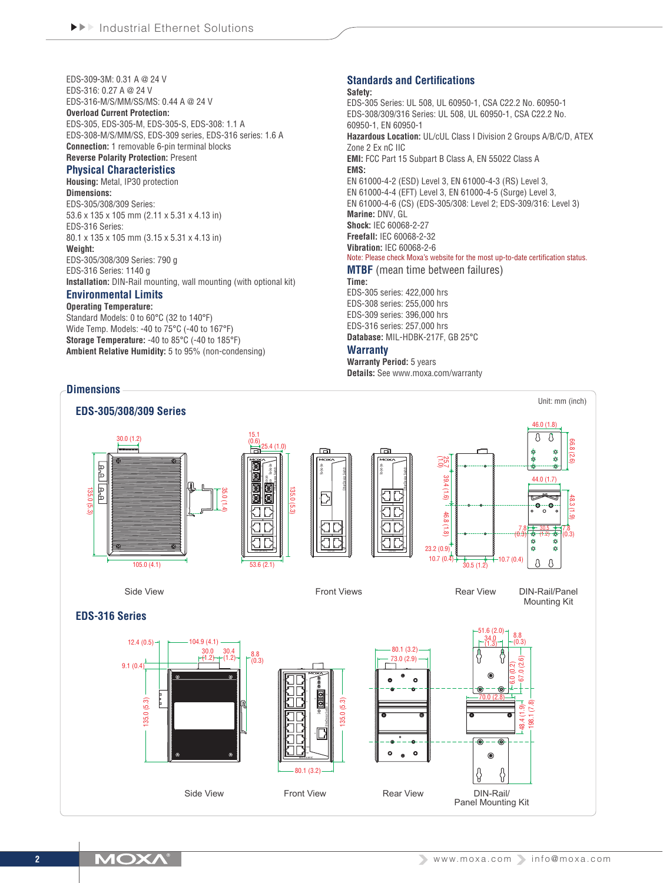EDS-309-3M: 0.31 A @ 24 V EDS-316: 0.27 A @ 24 V EDS-316-M/S/MM/SS/MS: 0.44 A @ 24 V **Overload Current Protection:** EDS-305, EDS-305-M, EDS-305-S, EDS-308: 1.1 A EDS-308-M/S/MM/SS, EDS-309 series, EDS-316 series: 1.6 A **Connection:** 1 removable 6-pin terminal blocks **Reverse Polarity Protection:** Present

#### **Physical Characteristics**

**Housing:** Metal, IP30 protection **Dimensions:** EDS-305/308/309 Series: 53.6 x 135 x 105 mm (2.11 x 5.31 x 4.13 in) EDS-316 Series: 80.1 x 135 x 105 mm (3.15 x 5.31 x 4.13 in) **Weight:** EDS-305/308/309 Series: 790 g EDS-316 Series: 1140 g **Installation:** DIN-Rail mounting, wall mounting (with optional kit)

## **Environmental Limits**

**Operating Temperature:** Standard Models: 0 to 60°C (32 to 140°F) Wide Temp. Models: -40 to 75°C (-40 to 167°F) **Storage Temperature:** -40 to 85°C (-40 to 185°F) **Ambient Relative Humidity:** 5 to 95% (non-condensing)

#### **Standards and Certifications**

#### **Safety:** EDS-305 Series: UL 508, UL 60950-1, CSA C22.2 No. 60950-1 EDS-308/309/316 Series: UL 508, UL 60950-1, CSA C22.2 No. 60950-1, EN 60950-1 **Hazardous Location:** UL/cUL Class I Division 2 Groups A/B/C/D, ATEX Zone 2 Ex nC IIC **EMI:** FCC Part 15 Subpart B Class A, EN 55022 Class A **EMS:** EN 61000-4-2 (ESD) Level 3, EN 61000-4-3 (RS) Level 3, EN 61000-4-4 (EFT) Level 3, EN 61000-4-5 (Surge) Level 3, EN 61000-4-6 (CS) (EDS-305/308: Level 2; EDS-309/316: Level 3) **Marine:** DNV, GL **Shock:** IEC 60068-2-27 **Freefall:** IEC 60068-2-32 **Vibration:** IEC 60068-2-6 Note: Please check Moxa's website for the most up-to-date certification status. **MTBF** (mean time between failures) **Time:** EDS-305 series: 422,000 hrs EDS-308 series: 255,000 hrs EDS-309 series: 396,000 hrs EDS-316 series: 257,000 hrs

**Database:** MIL-HDBK-217F, GB 25°C **Warranty Warranty Period:** 5 years

**Details:** See www.moxa.com/warranty